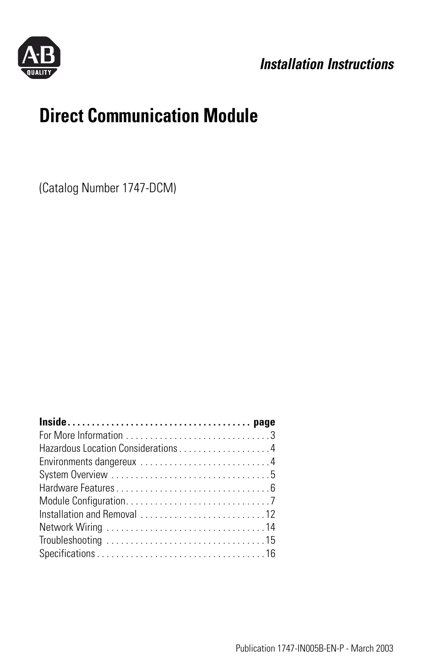

## *Installation Instructions*

# **Direct Communication Module**

(Catalog Number 1747-DCM)

| Hazardous Location Considerations 4 |  |
|-------------------------------------|--|
|                                     |  |
|                                     |  |
|                                     |  |
|                                     |  |
|                                     |  |
|                                     |  |
|                                     |  |
|                                     |  |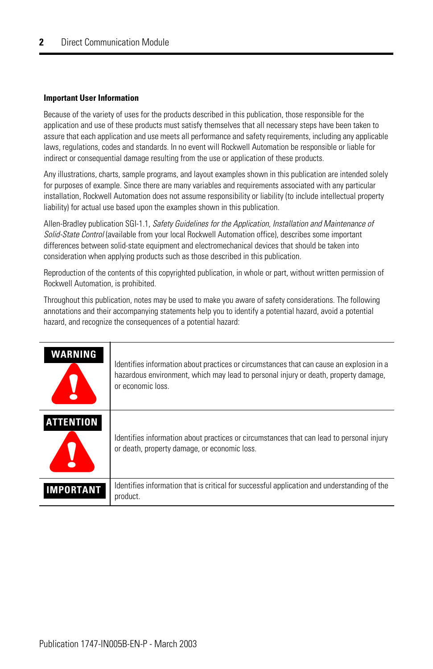#### **Important User Information**

Because of the variety of uses for the products described in this publication, those responsible for the application and use of these products must satisfy themselves that all necessary steps have been taken to assure that each application and use meets all performance and safety requirements, including any applicable laws, regulations, codes and standards. In no event will Rockwell Automation be responsible or liable for indirect or consequential damage resulting from the use or application of these products.

Any illustrations, charts, sample programs, and layout examples shown in this publication are intended solely for purposes of example. Since there are many variables and requirements associated with any particular installation, Rockwell Automation does not assume responsibility or liability (to include intellectual property liability) for actual use based upon the examples shown in this publication.

Allen-Bradley publication SGI-1.1, *Safety Guidelines for the Application, Installation and Maintenance of Solid-State Control* (available from your local Rockwell Automation office), describes some important differences between solid-state equipment and electromechanical devices that should be taken into consideration when applying products such as those described in this publication.

Reproduction of the contents of this copyrighted publication, in whole or part, without written permission of Rockwell Automation, is prohibited.

Throughout this publication, notes may be used to make you aware of safety considerations. The following annotations and their accompanying statements help you to identify a potential hazard, avoid a potential hazard, and recognize the consequences of a potential hazard:

| <b>WARNING</b>   | Identifies information about practices or circumstances that can cause an explosion in a<br>hazardous environment, which may lead to personal injury or death, property damage,<br>or economic loss. |
|------------------|------------------------------------------------------------------------------------------------------------------------------------------------------------------------------------------------------|
| <b>ATTENTION</b> | Identifies information about practices or circumstances that can lead to personal injury<br>or death, property damage, or economic loss.                                                             |
| IMPORTANT        | Identifies information that is critical for successful application and understanding of the<br>product.                                                                                              |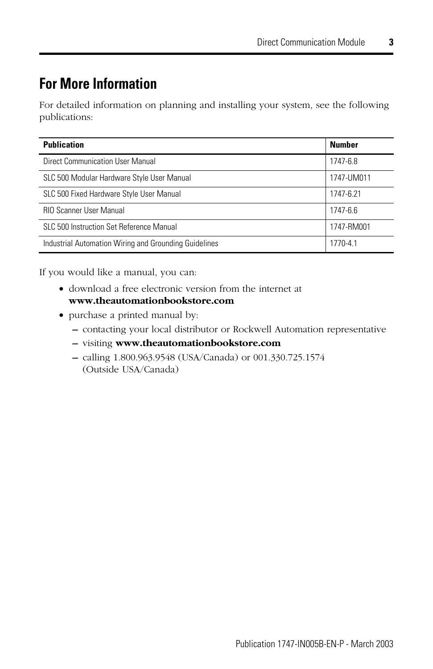## <span id="page-2-0"></span>**For More Information**

For detailed information on planning and installing your system, see the following publications:

| <b>Publication</b>                                    | <b>Number</b> |
|-------------------------------------------------------|---------------|
| Direct Communication User Manual                      | 1747-6.8      |
| SLC 500 Modular Hardware Style User Manual            | 1747-UM011    |
| SLC 500 Fixed Hardware Style User Manual              | 1747-6.21     |
| <b>RIO Scanner User Manual</b>                        | 1747-6.6      |
| SLC 500 Instruction Set Reference Manual              | 1747-RM001    |
| Industrial Automation Wiring and Grounding Guidelines | 1770-4.1      |

If you would like a manual, you can:

- download a free electronic version from the internet at **www.theautomationbookstore.com**
- purchase a printed manual by:
	- **–** contacting your local distributor or Rockwell Automation representative
	- **–** visiting **www.theautomationbookstore.com**
	- **–** calling 1.800.963.9548 (USA/Canada) or 001.330.725.1574 (Outside USA/Canada)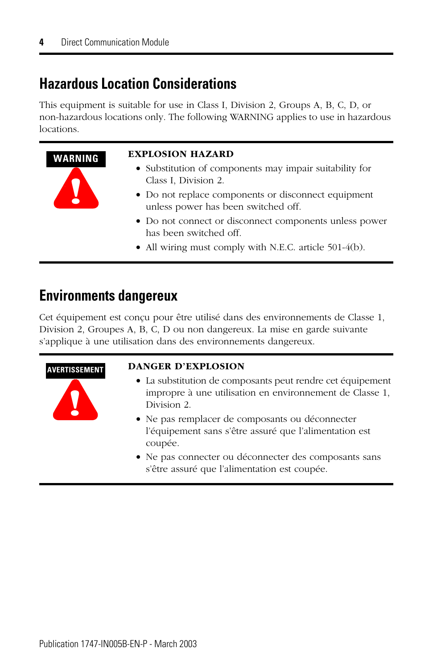## <span id="page-3-0"></span>**Hazardous Location Considerations**

This equipment is suitable for use in Class I, Division 2, Groups A, B, C, D, or non-hazardous locations only. The following WARNING applies to use in hazardous locations.

## **WARNING EXPLOSION HAZARD**

- Substitution of components may impair suitability for Class I, Division 2.
- Do not replace components or disconnect equipment unless power has been switched off.
- Do not connect or disconnect components unless power has been switched off.
- All wiring must comply with N.E.C. article 501-4(b).

## <span id="page-3-1"></span>**Environments dangereux**

**!**

**!**

Cet équipement est conçu pour être utilisé dans des environnements de Classe 1, Division 2, Groupes A, B, C, D ou non dangereux. La mise en garde suivante s'applique à une utilisation dans des environnements dangereux.

### **AVERTISSEMENT DANGER D'EXPLOSION**

- La substitution de composants peut rendre cet équipement impropre à une utilisation en environnement de Classe 1, Division 2.
- Ne pas remplacer de composants ou déconnecter l'équipement sans s'être assuré que l'alimentation est coupée.
- Ne pas connecter ou déconnecter des composants sans s'être assuré que l'alimentation est coupée.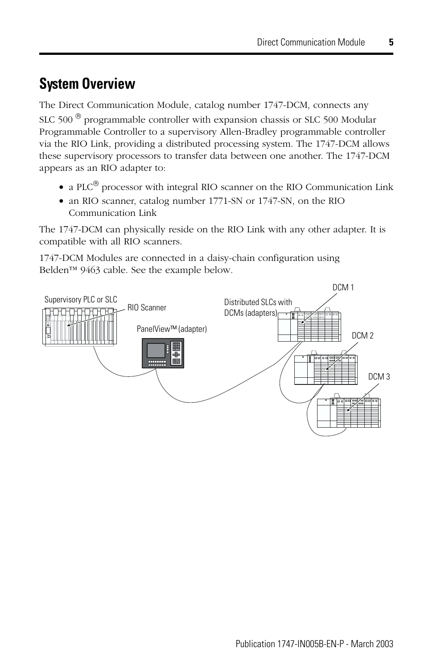## <span id="page-4-0"></span>**System Overview**

The Direct Communication Module, catalog number 1747-DCM, connects any SLC 500 $^{\circledR}$  programmable controller with expansion chassis or SLC 500 Modular Programmable Controller to a supervisory Allen-Bradley programmable controller via the RIO Link, providing a distributed processing system. The 1747-DCM allows these supervisory processors to transfer data between one another. The 1747-DCM appears as an RIO adapter to:

- a PLC $^{\circledR}$  processor with integral RIO scanner on the RIO Communication Link
- an RIO scanner, catalog number 1771-SN or 1747-SN, on the RIO Communication Link

The 1747-DCM can physically reside on the RIO Link with any other adapter. It is compatible with all RIO scanners.

1747-DCM Modules are connected in a daisy-chain configuration using Belden™ 9463 cable. See the example below.

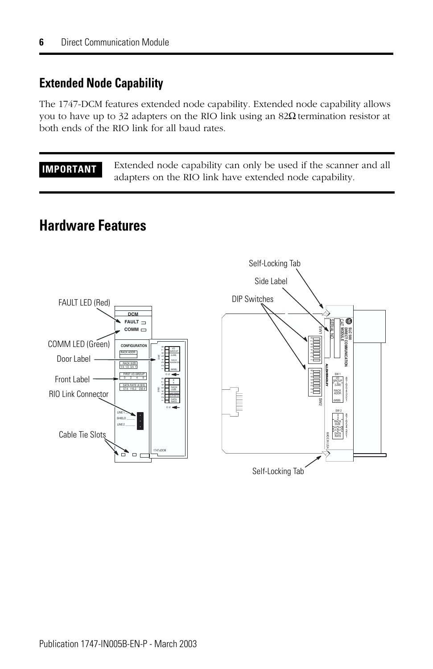## **Extended Node Capability**

The 1747-DCM features extended node capability. Extended node capability allows you to have up to 32 adapters on the RIO link using an  $82Ω$  termination resistor at both ends of the RIO link for all baud rates.

**IMPORTANT** Extended node capability can only be used if the scanner and all adapters on the RIO link have extended node capability.

## <span id="page-5-0"></span>**Hardware Features**

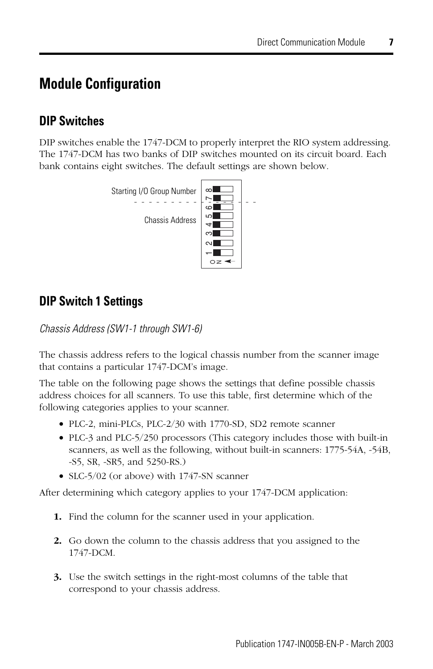## <span id="page-6-0"></span>**Module Configuration**

## **DIP Switches**

DIP switches enable the 1747-DCM to properly interpret the RIO system addressing. The 1747-DCM has two banks of DIP switches mounted on its circuit board. Each bank contains eight switches. The default settings are shown below.



## **DIP Switch 1 Settings**

*Chassis Address (SW1-1 through SW1-6)*

The chassis address refers to the logical chassis number from the scanner image that contains a particular 1747-DCM's image.

The table on the following page shows the settings that define possible chassis address choices for all scanners. To use this table, first determine which of the following categories applies to your scanner.

- PLC-2, mini-PLCs, PLC-2/30 with 1770-SD, SD2 remote scanner
- PLC-3 and PLC-5/250 processors (This category includes those with built-in scanners, as well as the following, without built-in scanners: 1775-54A, -54B, -S5, SR, -SR5, and 5250-RS.)
- SLC-5/02 (or above) with 1747-SN scanner

After determining which category applies to your 1747-DCM application:

- **1.** Find the column for the scanner used in your application.
- **2.** Go down the column to the chassis address that you assigned to the 1747-DCM.
- **3.** Use the switch settings in the right-most columns of the table that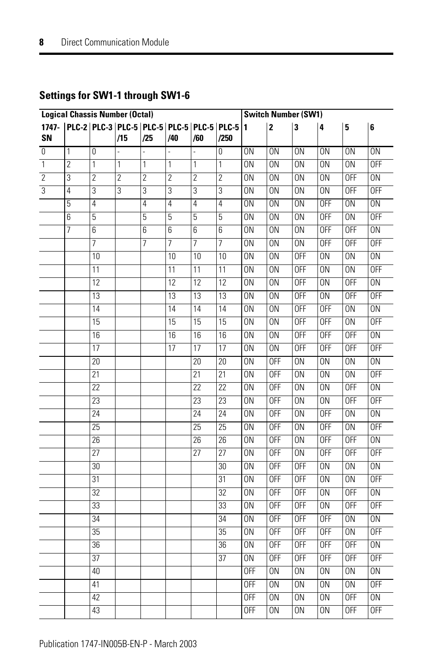| <b>Logical Chassis Number (Octal)</b> |                                                       |                 |                |                |                | <b>Switch Number (SW1)</b> |                 |                 |                 |                 |                 |                 |                 |
|---------------------------------------|-------------------------------------------------------|-----------------|----------------|----------------|----------------|----------------------------|-----------------|-----------------|-----------------|-----------------|-----------------|-----------------|-----------------|
| 1747-<br>SN                           | PLC-2   PLC-3   PLC-5   PLC-5   PLC-5   PLC-5   PLC-5 |                 | /15            | /25            | /40            |                            | /250            | 11              | 2               | 3               | 4               | 5               | 6               |
|                                       |                                                       |                 |                |                |                | /60                        |                 |                 |                 |                 |                 |                 |                 |
| $\overline{0}$                        | 1                                                     | 0               |                |                |                |                            | 0               | 0N              | 0N              | 0N              | 0N              | 0N              | 0N              |
| 1                                     | $\sqrt{2}$                                            | 1               | 1              | 1              | 1              | 1                          | 1               | ΟN              | $\overline{ON}$ | $\overline{ON}$ | $\overline{ON}$ | 0N              | <b>OFF</b>      |
| $\overline{2}$                        | $\overline{3}$                                        | $\overline{2}$  | $\overline{2}$ | $\overline{c}$ | $\overline{2}$ | $\overline{2}$             | $\overline{c}$  | $\overline{ON}$ | $\overline{ON}$ | $\overline{ON}$ | $\overline{ON}$ | <b>OFF</b>      | $\overline{ON}$ |
| 3                                     | 4                                                     | $\overline{3}$  | $\overline{3}$ | 3              | 3              | $\overline{3}$             | $\overline{3}$  | ΟN              | 0N              | 0N              | $\overline{ON}$ | <b>OFF</b>      | <b>OFF</b>      |
|                                       | 5                                                     | 4               |                | 4              | 4              | 4                          | $\overline{4}$  | $\overline{ON}$ | $\overline{ON}$ | $\overline{ON}$ | 0FF             | $\overline{ON}$ | 0 <sub>N</sub>  |
|                                       | 6                                                     | 5               |                | 5              | 5              | $\overline{5}$             | 5               | $\overline{ON}$ | $\overline{ON}$ | $\overline{ON}$ | 0FF             | $\overline{ON}$ | 0FF             |
|                                       | 7                                                     | 6               |                | 6              | 6              | 6                          | 6               | 0N              | 0N              | 0N              | 0FF             | <b>OFF</b>      | 0N              |
|                                       |                                                       | 7               |                | 7              | 7              | 7                          | 7               | 0N              | 0N              | 0N              | <b>OFF</b>      | <b>OFF</b>      | <b>OFF</b>      |
|                                       |                                                       | 10              |                |                | 10             | 10                         | 10              | 0N              | 0N              | <b>OFF</b>      | 0N              | 0 <sub>N</sub>  | 0N              |
|                                       |                                                       | 11              |                |                | 11             | 11                         | 11              | 0N              | 0N              | <b>OFF</b>      | 0N              | 0 <sub>N</sub>  | <b>OFF</b>      |
|                                       |                                                       | 12              |                |                | 12             | 12                         | 12              | 0N              | 0N              | <b>OFF</b>      | 0N              | <b>OFF</b>      | $\overline{ON}$ |
|                                       |                                                       | 13              |                |                | 13             | 13                         | 13              | 0N              | 0N              | <b>OFF</b>      | 0N              | <b>OFF</b>      | <b>OFF</b>      |
|                                       |                                                       | 14              |                |                | 14             | 14                         | 14              | 0N              | $\overline{ON}$ | <b>OFF</b>      | 0FF             | 0N              | $\overline{ON}$ |
|                                       |                                                       | 15              |                |                | 15             | 15                         | 15              | 0N              | 0N              | <b>OFF</b>      | <b>OFF</b>      | 0N              | <b>OFF</b>      |
|                                       |                                                       | 16              |                |                | 16             | 16                         | 16              | 0N              | 0N              | <b>OFF</b>      | 0FF             | <b>OFF</b>      | 0N              |
|                                       |                                                       | 17              |                |                | 17             | 17                         | 17              | ΟN              | 0N              | <b>OFF</b>      | 0FF             | <b>OFF</b>      | <b>OFF</b>      |
|                                       |                                                       | 20              |                |                |                | 20                         | 20              | 0N              | <b>OFF</b>      | 0N              | 0N              | 0N              | 0N              |
|                                       |                                                       | 21              |                |                |                | 21                         | 21              | 0N              | <b>OFF</b>      | 0N              | 0N              | 0N              | <b>OFF</b>      |
|                                       |                                                       | 22              |                |                |                | 22                         | 22              | 0N              | <b>OFF</b>      | 0N              | 0N              | <b>OFF</b>      | 0N              |
|                                       |                                                       | 23              |                |                |                | 23                         | 23              | 0N              | <b>OFF</b>      | 0N              | 0N              | <b>OFF</b>      | <b>OFF</b>      |
|                                       |                                                       | $\overline{24}$ |                |                |                | $\overline{24}$            | $\overline{24}$ | $\overline{ON}$ | <b>OFF</b>      | $\overline{ON}$ | <b>OFF</b>      | $\overline{ON}$ | $\overline{ON}$ |
|                                       |                                                       | $\overline{25}$ |                |                |                | 25                         | $\overline{25}$ | 0N              | <b>OFF</b>      | 0N              | <b>OFF</b>      | 0N              | <b>OFF</b>      |
|                                       |                                                       | $\overline{26}$ |                |                |                | 26                         | 26              | 0N              | <b>OFF</b>      | 0N              | 0FF             | <b>OFF</b>      | 0N              |
|                                       |                                                       | 27              |                |                |                | 27                         | 27              | 0N              | <b>OFF</b>      | 0N              | 0FF             | <b>OFF</b>      | <b>OFF</b>      |
|                                       |                                                       | 30              |                |                |                |                            | 30              | 0N              | <b>OFF</b>      | <b>OFF</b>      | $\overline{ON}$ | 0 <sub>N</sub>  | $\overline{ON}$ |
|                                       |                                                       | 31              |                |                |                |                            | 31              | $\overline{ON}$ | <b>OFF</b>      | <b>OFF</b>      | $\overline{ON}$ | 0 <sub>N</sub>  | <b>OFF</b>      |
|                                       |                                                       | $\overline{32}$ |                |                |                |                            | 32              | $\overline{ON}$ | <b>OFF</b>      | <b>OFF</b>      | $\overline{ON}$ | <b>OFF</b>      | 0 <sub>N</sub>  |
|                                       |                                                       | 33              |                |                |                |                            | 33              | ON              | <b>OFF</b>      | <b>OFF</b>      | ΟN              | <b>OFF</b>      | <b>OFF</b>      |
|                                       |                                                       | $\overline{34}$ |                |                |                |                            | 34              | $\overline{ON}$ | <b>OFF</b>      | <b>OFF</b>      | <b>OFF</b>      | $\overline{ON}$ | $\overline{ON}$ |
|                                       |                                                       | $\overline{35}$ |                |                |                |                            | 35              | $\overline{ON}$ | <b>OFF</b>      | <b>OFF</b>      | <b>OFF</b>      | 0N              | <b>OFF</b>      |
|                                       |                                                       | 36              |                |                |                |                            | 36              | 0N              | <b>OFF</b>      | <b>OFF</b>      | 0FF             | <b>OFF</b>      | $\overline{ON}$ |
|                                       |                                                       | 37              |                |                |                |                            | 37              | ΟN              | <b>OFF</b>      | <b>OFF</b>      | 0FF             | <b>OFF</b>      | <b>OFF</b>      |
|                                       |                                                       | 40              |                |                |                |                            |                 | <b>OFF</b>      | 0N              | 0N              | 0N              | 0N              | $\overline{ON}$ |
|                                       |                                                       | 41              |                |                |                |                            |                 | <b>OFF</b>      | 0N              | 0N              | 0N              | 0N              | <b>OFF</b>      |
|                                       |                                                       | 42              |                |                |                |                            |                 | <b>OFF</b>      | 0N              | 0N              | 0N              | <b>OFF</b>      | 0N              |
|                                       |                                                       | 43              |                |                |                |                            |                 | <b>OFF</b>      | 0N              | 0N              | 0N              | <b>OFF</b>      | <b>OFF</b>      |
|                                       |                                                       |                 |                |                |                |                            |                 |                 |                 |                 |                 |                 |                 |

### **Settings for SW1-1 through SW1-6**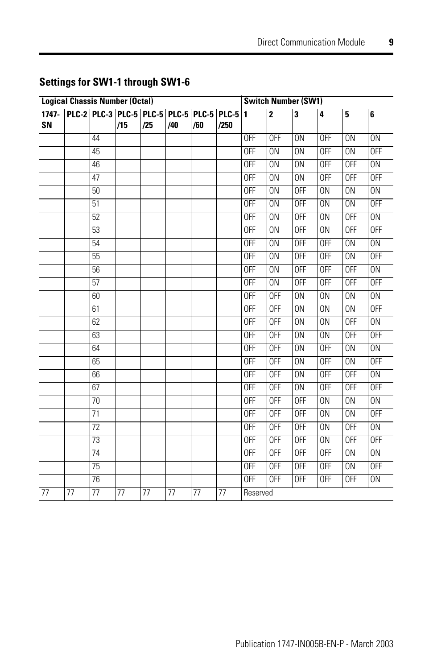| <b>Logical Chassis Number (Octal)</b> |                                                               |                 |     |     |     |     | <b>Switch Number (SW1)</b> |                |                 |                 |                 |                 |                 |
|---------------------------------------|---------------------------------------------------------------|-----------------|-----|-----|-----|-----|----------------------------|----------------|-----------------|-----------------|-----------------|-----------------|-----------------|
| SN                                    | 1747-   PLC-2   PLC-3   PLC-5   PLC-5   PLC-5   PLC-5   PLC-5 |                 | /15 | /25 | /40 | /60 | /250                       | $\blacksquare$ | l2              | 3               | 4               | 5               | 6               |
|                                       |                                                               | 44              |     |     |     |     |                            | <b>OFF</b>     | <b>OFF</b>      | 0N              | <b>OFF</b>      | 0 <sub>N</sub>  | 0N              |
|                                       |                                                               | 45              |     |     |     |     |                            | <b>OFF</b>     | $\overline{ON}$ | $\overline{ON}$ | 0FF             | $\overline{ON}$ | <b>OFF</b>      |
|                                       |                                                               | 46              |     |     |     |     |                            | <b>OFF</b>     | 0N              | 0N              | <b>OFF</b>      | <b>OFF</b>      | 0N              |
|                                       |                                                               | 47              |     |     |     |     |                            | <b>OFF</b>     | 0N              | $\overline{ON}$ | <b>OFF</b>      | <b>OFF</b>      | <b>OFF</b>      |
|                                       |                                                               | 50              |     |     |     |     |                            | <b>OFF</b>     | 0N              | <b>OFF</b>      | 0N              | 0N              | 0N              |
|                                       |                                                               | 51              |     |     |     |     |                            | <b>OFF</b>     | 0N              | <b>OFF</b>      | 0N              | 0 <sub>N</sub>  | <b>OFF</b>      |
|                                       |                                                               | 52              |     |     |     |     |                            | <b>OFF</b>     | 0N              | <b>OFF</b>      | 0N              | <b>OFF</b>      | 0N              |
|                                       |                                                               | 53              |     |     |     |     |                            | <b>OFF</b>     | 0N              | <b>OFF</b>      | 0N              | <b>OFF</b>      | <b>OFF</b>      |
|                                       |                                                               | 54              |     |     |     |     |                            | <b>OFF</b>     | 0N              | <b>OFF</b>      | <b>OFF</b>      | 0N              | 0N              |
|                                       |                                                               | 55              |     |     |     |     |                            | <b>OFF</b>     | $\overline{ON}$ | <b>OFF</b>      | <b>OFF</b>      | $\overline{ON}$ | <b>OFF</b>      |
|                                       |                                                               | 56              |     |     |     |     |                            | <b>OFF</b>     | 0N              | <b>OFF</b>      | 0FF             | <b>OFF</b>      | 0N              |
|                                       |                                                               | 57              |     |     |     |     |                            | <b>OFF</b>     | 0N              | <b>OFF</b>      | 0FF             | <b>OFF</b>      | <b>OFF</b>      |
|                                       |                                                               | 60              |     |     |     |     |                            | <b>OFF</b>     | 0FF             | 0N              | 0N              | 0 <sub>N</sub>  | 0N              |
|                                       |                                                               | 61              |     |     |     |     |                            | <b>OFF</b>     | <b>OFF</b>      | 0N              | 0N              | 0 <sub>N</sub>  | <b>OFF</b>      |
|                                       |                                                               | 62              |     |     |     |     |                            | <b>OFF</b>     | <b>OFF</b>      | 0N              | ON              | <b>OFF</b>      | $\overline{ON}$ |
|                                       |                                                               | 63              |     |     |     |     |                            | <b>OFF</b>     | 0FF             | 0 <sub>N</sub>  | 0 <sub>N</sub>  | <b>OFF</b>      | <b>OFF</b>      |
|                                       |                                                               | 64              |     |     |     |     |                            | <b>OFF</b>     | <b>OFF</b>      | 0N              | <b>OFF</b>      | $\overline{ON}$ | $\overline{ON}$ |
|                                       |                                                               | 65              |     |     |     |     |                            | <b>OFF</b>     | <b>OFF</b>      | 0N              | <b>OFF</b>      | 0 <sub>N</sub>  | <b>OFF</b>      |
|                                       |                                                               | 66              |     |     |     |     |                            | <b>OFF</b>     | <b>OFF</b>      | $\overline{ON}$ | <b>OFF</b>      | <b>OFF</b>      | $\overline{ON}$ |
|                                       |                                                               | 67              |     |     |     |     |                            | <b>OFF</b>     | <b>OFF</b>      | 0N              | <b>OFF</b>      | <b>OFF</b>      | <b>OFF</b>      |
|                                       |                                                               | 70              |     |     |     |     |                            | <b>OFF</b>     | <b>OFF</b>      | <b>OFF</b>      | 0N              | 0 <sub>N</sub>  | 0N              |
|                                       |                                                               | $\overline{71}$ |     |     |     |     |                            | <b>OFF</b>     | <b>OFF</b>      | <b>OFF</b>      | $\overline{ON}$ | $\overline{ON}$ | <b>OFF</b>      |
|                                       |                                                               | 72              |     |     |     |     |                            | <b>OFF</b>     | <b>OFF</b>      | <b>OFF</b>      | 0N              | <b>OFF</b>      | 0N              |
|                                       |                                                               | 73              |     |     |     |     |                            | <b>OFF</b>     | <b>OFF</b>      | <b>OFF</b>      | 0N              | <b>OFF</b>      | <b>OFF</b>      |
|                                       |                                                               | 74              |     |     |     |     |                            | <b>OFF</b>     | <b>OFF</b>      | <b>OFF</b>      | <b>OFF</b>      | 0N              | 0N              |
|                                       |                                                               | 75              |     |     |     |     |                            | <b>OFF</b>     | <b>OFF</b>      | <b>OFF</b>      | <b>OFF</b>      | 0 <sub>N</sub>  | <b>OFF</b>      |
|                                       |                                                               | 76              |     |     |     |     |                            | <b>OFF</b>     | <b>OFF</b>      | <b>OFF</b>      | <b>OFF</b>      | <b>OFF</b>      | 0N              |
| 77                                    | 77                                                            | 77              | 77  | 77  | 77  | 77  | 77                         | Reserved       |                 |                 |                 |                 |                 |

## **Settings for SW1-1 through SW1-6**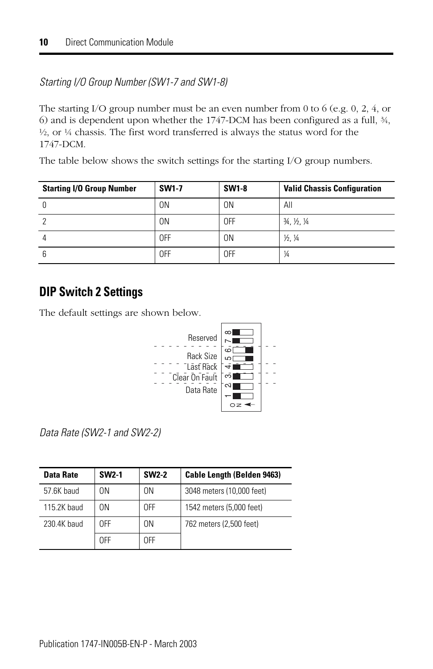### *Starting I/O Group Number (SW1-7 and SW1-8)*

The starting I/O group number must be an even number from 0 to 6 (e.g. 0, 2, 4, or 6) and is dependent upon whether the 1747-DCM has been configured as a full, ¾,  $\frac{1}{2}$ , or  $\frac{1}{4}$  chassis. The first word transferred is always the status word for the 1747-DCM.

The table below shows the switch settings for the starting I/O group numbers.

| <b>Starting I/O Group Number</b> | <b>SW1-7</b> | <b>SW1-8</b> | <b>Valid Chassis Configuration</b>            |
|----------------------------------|--------------|--------------|-----------------------------------------------|
|                                  | 0N           | 0N           | All                                           |
|                                  | 0N           | 0FF          | $\frac{3}{4}$ , $\frac{1}{2}$ , $\frac{1}{4}$ |
|                                  | 0FF          | 0N           | 1/2.1/4                                       |
|                                  | 0FF          | 0FF          | $\frac{1}{4}$                                 |

## **DIP Switch 2 Settings**

The default settings are shown below.



*Data Rate (SW2-1 and SW2-2)*

| Data Rate   | <b>SW2-1</b> | <b>SW2-2</b>   | <b>Cable Length (Belden 9463)</b> |
|-------------|--------------|----------------|-----------------------------------|
| 57.6K baud  | 0N           | 0 <sup>N</sup> | 3048 meters (10,000 feet)         |
| 115.2K haud | 0N           | 0FF            | 1542 meters (5,000 feet)          |
| 230.4K baud | 0FF          | 0 <sup>N</sup> | 762 meters (2,500 feet)           |
|             | 0FF          | 0FF            |                                   |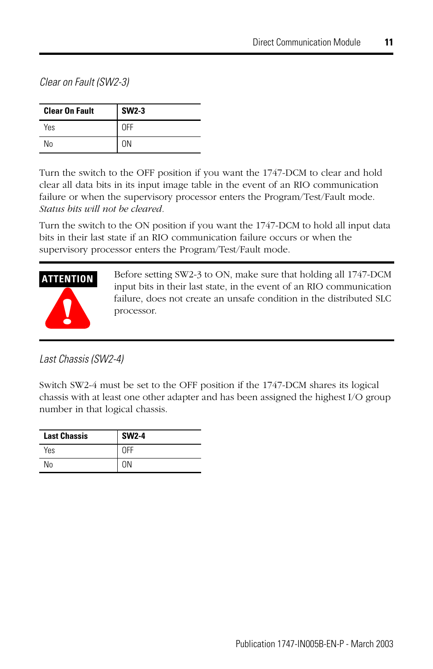*Clear on Fault (SW2-3)*

| <b>Clear On Fault</b> | <b>SW2-3</b> |
|-----------------------|--------------|
| Yes                   | OFF          |
| No                    | 0N           |

Turn the switch to the OFF position if you want the 1747-DCM to clear and hold clear all data bits in its input image table in the event of an RIO communication failure or when the supervisory processor enters the Program/Test/Fault mode. *Status bits will not be cleared.*

Turn the switch to the ON position if you want the 1747-DCM to hold all input data bits in their last state if an RIO communication failure occurs or when the supervisory processor enters the Program/Test/Fault mode.



Before setting SW2-3 to ON, make sure that holding all 1747-DCM input bits in their last state, in the event of an RIO communication failure, does not create an unsafe condition in the distributed SLC processor.

*Last Chassis (SW2-4)*

Switch SW2-4 must be set to the OFF position if the 1747-DCM shares its logical chassis with at least one other adapter and has been assigned the highest I/O group number in that logical chassis.

| <b>Last Chassis</b> | <b>SW2-4</b> |
|---------------------|--------------|
| Yes                 | <b>OFF</b>   |
| Nο                  |              |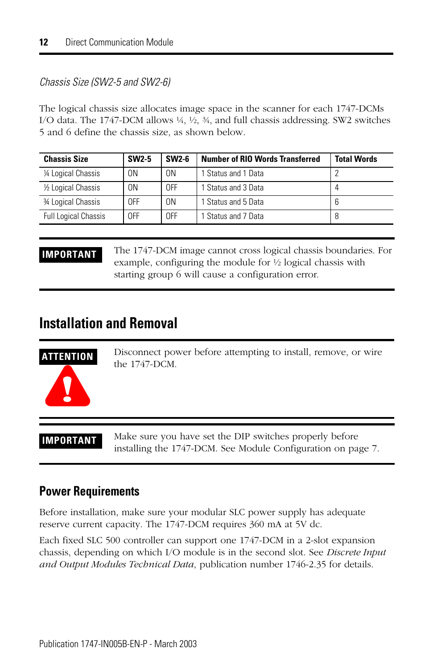#### *Chassis Size (SW2-5 and SW2-6)*

The logical chassis size allocates image space in the scanner for each 1747-DCMs I/O data. The 1747-DCM allows ¼, ½, ¾, and full chassis addressing. SW2 switches 5 and 6 define the chassis size, as shown below.

| <b>Chassis Size</b>         | <b>SW2-5</b> | SW2-6 | <b>Number of RIO Words Transferred</b> | <b>Total Words</b> |
|-----------------------------|--------------|-------|----------------------------------------|--------------------|
| 1/4 Logical Chassis         | ΟN           | 0N    | 1 Status and 1 Data                    |                    |
| 1/2 Logical Chassis         | ΟN           | 0FF   | 1 Status and 3 Data                    |                    |
| 34 Logical Chassis          | OFF          | 0N    | 1 Status and 5 Data                    |                    |
| <b>Full Logical Chassis</b> | OFF          | 0FF   | 1 Status and 7 Data                    |                    |

**IMPORTANT** The 1747-DCM image cannot cross logical chassis boundaries. For example, configuring the module for ½ logical chassis with starting group 6 will cause a configuration error.

## <span id="page-11-0"></span>**Installation and Removal**

# **ATTENTION**

Disconnect power before attempting to install, remove, or wire the 1747-DCM.

**!**

**IMPORTANT** Make sure you have set the DIP switches properly before installing the 1747-DCM. See [Module Configuration](#page-6-0) on page [7.](#page-6-0)

### **Power Requirements**

Before installation, make sure your modular SLC power supply has adequate reserve current capacity. The 1747-DCM requires 360 mA at 5V dc.

Each fixed SLC 500 controller can support one 1747-DCM in a 2-slot expansion chassis, depending on which I/O module is in the second slot. See *Discrete Input and Output Modules Technical Data*, publication number 1746-2.35 for details.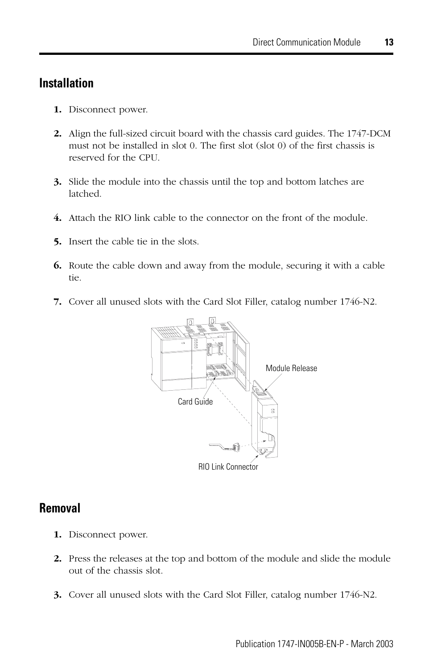## **Installation**

- **1.** Disconnect power.
- **2.** Align the full-sized circuit board with the chassis card guides. The 1747-DCM must not be installed in slot 0. The first slot (slot 0) of the first chassis is reserved for the CPU.
- **3.** Slide the module into the chassis until the top and bottom latches are latched.
- **4.** Attach the RIO link cable to the connector on the front of the module.
- **5.** Insert the cable tie in the slots.
- **6.** Route the cable down and away from the module, securing it with a cable tie.
- **7.** Cover all unused slots with the Card Slot Filler, catalog number 1746-N2.



### **Removal**

- **1.** Disconnect power.
- **2.** Press the releases at the top and bottom of the module and slide the module out of the chassis slot.
- **3.** Cover all unused slots with the Card Slot Filler, catalog number 1746-N2.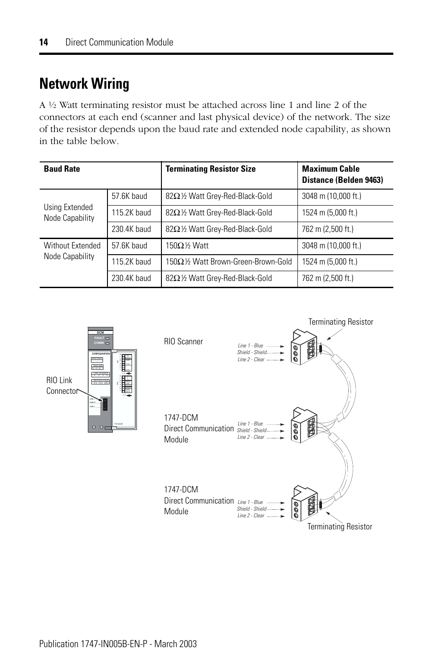## <span id="page-13-0"></span>**Network Wiring**

A ½ Watt terminating resistor must be attached across line 1 and line 2 of the connectors at each end (scanner and last physical device) of the network. The size of the resistor depends upon the baud rate and extended node capability, as shown in the table below.

| <b>Baud Rate</b>                  |                                               | <b>Terminating Resistor Size</b>    | <b>Maximum Cable</b><br>Distance (Belden 9463) |
|-----------------------------------|-----------------------------------------------|-------------------------------------|------------------------------------------------|
|                                   | 82Ω1/2 Watt Grey-Red-Black-Gold<br>57.6K baud |                                     | 3048 m (10,000 ft.)                            |
| Using Extended<br>Node Capability | 115.2K baud                                   | 82Ω1/2 Watt Grey-Red-Black-Gold     | 1524 m (5,000 ft.)                             |
|                                   | 230.4K baud                                   | 82Ω1/2 Watt Grey-Red-Black-Gold     | 762 m (2,500 ft.)                              |
| Without Extended                  | 57.6K baud                                    | 150Ω $%$ Watt                       | 3048 m (10,000 ft.)                            |
| Node Capability                   | 115.2K baud                                   | 150Ω1/2 Watt Brown-Green-Brown-Gold | 1524 m (5,000 ft.)                             |
|                                   | 230.4K baud                                   | 82Ω1/2 Watt Grey-Red-Black-Gold     | 762 m (2,500 ft.)                              |

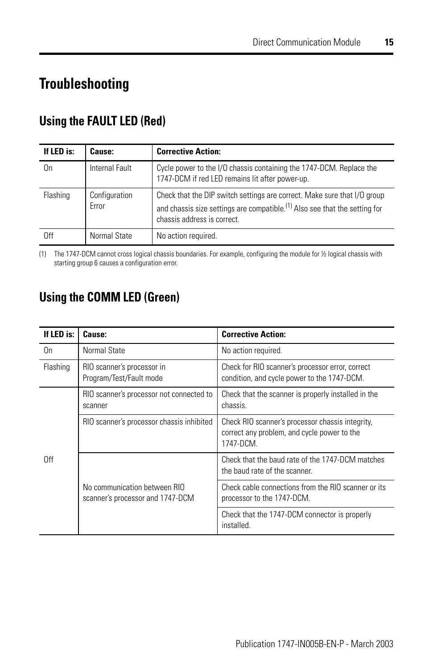## <span id="page-14-0"></span>**Troubleshooting**

## **Using the FAULT LED (Red)**

| If LED is: | Cause:                 | <b>Corrective Action:</b>                                                                                                                                                                         |
|------------|------------------------|---------------------------------------------------------------------------------------------------------------------------------------------------------------------------------------------------|
| On         | Internal Fault         | Cycle power to the I/O chassis containing the 1747-DCM. Replace the<br>1747-DCM if red LED remains lit after power-up.                                                                            |
| Flashing   | Configuration<br>Error | Check that the DIP switch settings are correct. Make sure that I/O group<br>and chassis size settings are compatible. <sup>(1)</sup> Also see that the setting for<br>chassis address is correct. |
| 0ff        | Normal State           | No action required.                                                                                                                                                                               |

(1) The 1747-DCM cannot cross logical chassis boundaries. For example, configuring the module for ½ logical chassis with starting group 6 causes a configuration error.

## **Using the COMM LED (Green)**

| If LED is: | Cause:                                                           | <b>Corrective Action:</b>                                                                                    |
|------------|------------------------------------------------------------------|--------------------------------------------------------------------------------------------------------------|
| 0n         | Normal State                                                     | No action required.                                                                                          |
| Flashing   | RIO scanner's processor in<br>Program/Test/Fault mode            | Check for RIO scanner's processor error, correct<br>condition, and cycle power to the 1747-DCM.              |
| 0ff        | RIO scanner's processor not connected to<br>scanner              | Check that the scanner is properly installed in the<br>chassis.                                              |
|            | RIO scanner's processor chassis inhibited                        | Check RIO scanner's processor chassis integrity,<br>correct any problem, and cycle power to the<br>1747-DCM. |
|            |                                                                  | Check that the baud rate of the 1747-DCM matches<br>the baud rate of the scanner.                            |
|            | No communication between RIO<br>scanner's processor and 1747-DCM | Check cable connections from the RIO scanner or its<br>processor to the 1747-DCM.                            |
|            |                                                                  | Check that the 1747-DCM connector is properly<br>installed.                                                  |